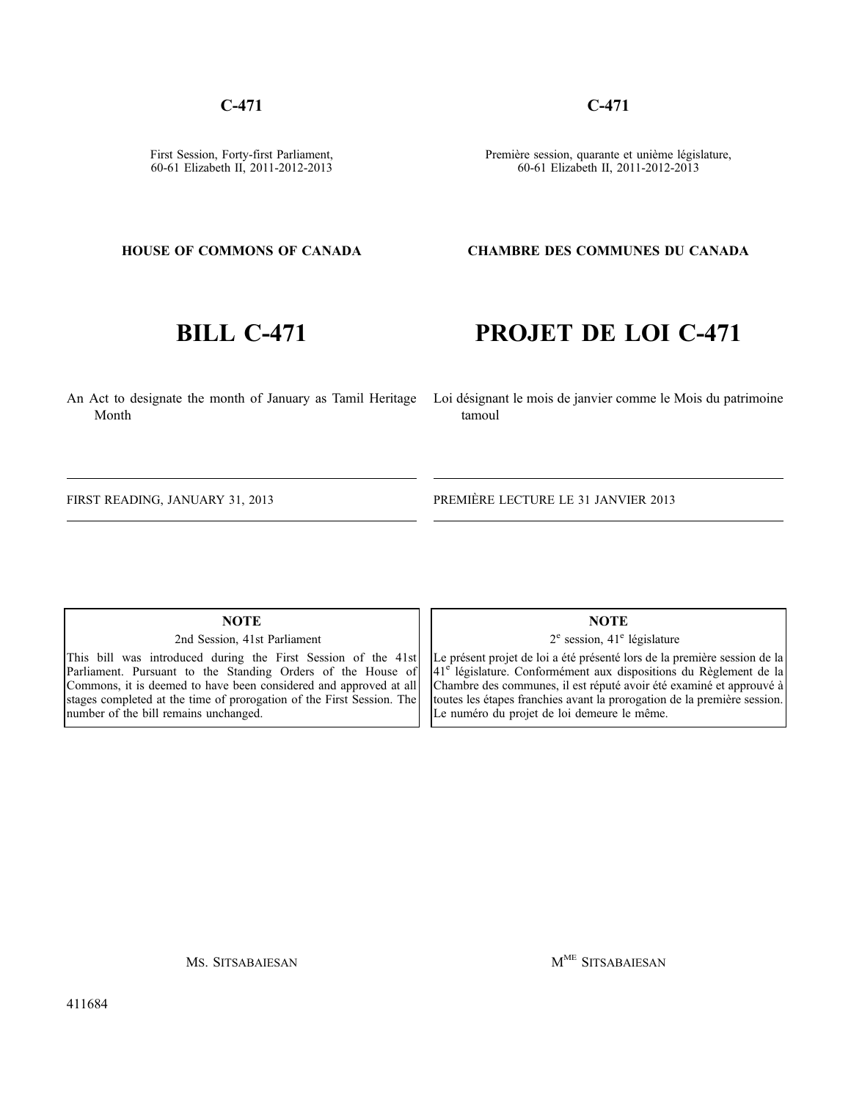## **C-471**

First Session, Forty-first Parliament, 60-61 Elizabeth II, 2011-2012-2013 **C-471**

Première session, quarante et unième législature, 60-61 Elizabeth II, 2011-2012-2013

## **HOUSE OF COMMONS OF CANADA**

# **BILL C-471**

**PROJET DE LOI C-471**

**CHAMBRE DES COMMUNES DU CANADA**

An Act to designate the month of January as Tamil Heritage Loi désignant le mois de janvier comme le Mois du patrimoine Month

tamoul

FIRST READING, JANUARY 31, 2013

PREMIÈRE LECTURE LE 31 JANVIER 2013

## **NOTE**

2nd Session, 41st Parliament

This bill was introduced during the First Session of the 41st Parliament. Pursuant to the Standing Orders of the House of Commons, it is deemed to have been considered and approved at all stages completed at the time of prorogation of the First Session. The number of the bill remains unchanged.

**NOTE**

 $2^e$  session,  $41^e$  législature

Le présent projet de loi a été présenté lors de la première session de la 41<sup>e</sup> législature. Conformément aux dispositions du Règlement de la Chambre des communes, il est réputé avoir été examiné et approuvé à toutes les étapes franchies avant la prorogation de la première session. Le numéro du projet de loi demeure le même.

MS. SITSABAIESAN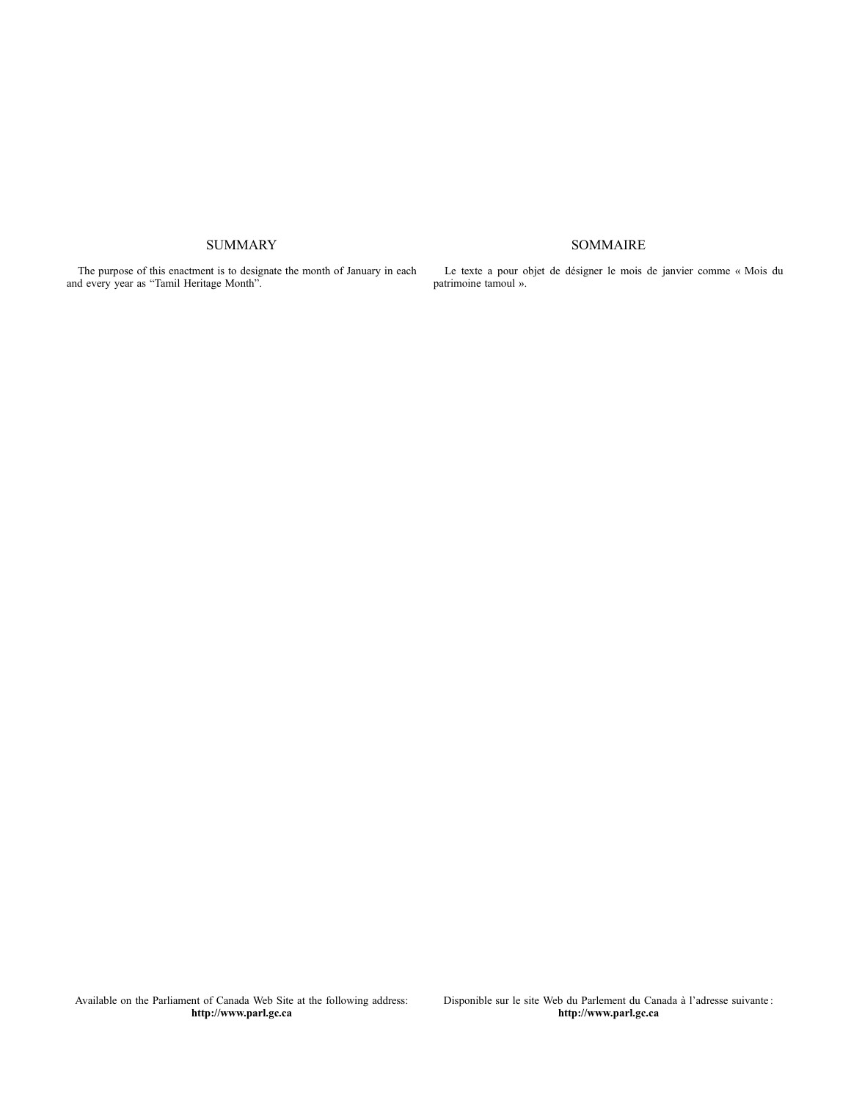## **SUMMARY**

The purpose of this enactment is to designate the month of January in each and every year as "Tamil Heritage Month".

Le texte a pour objet de désigner le mois de janvier comme « Mois du patrimoine tamoul ».

## SOMMAIRE